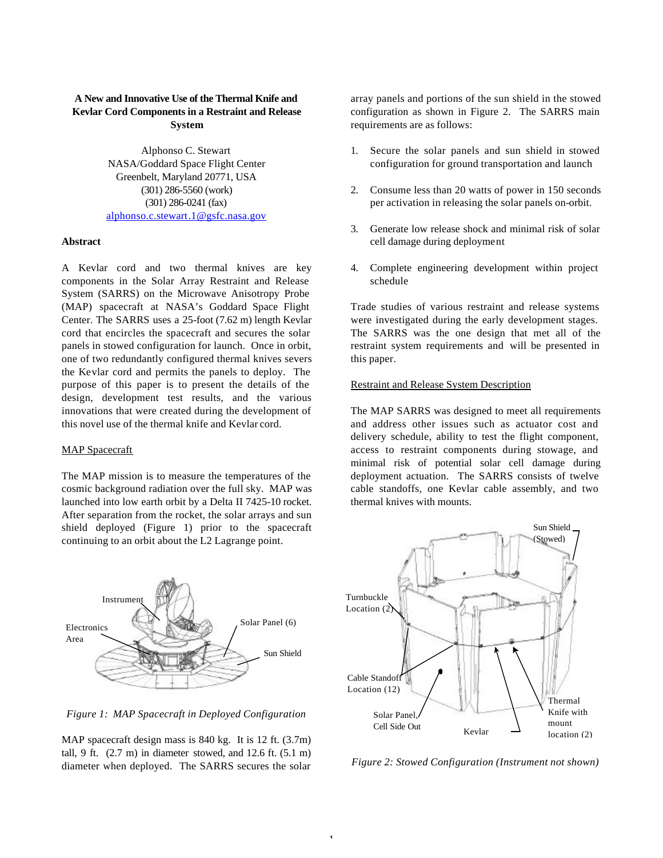# **A New and Innovative Use of the Thermal Knife and Kevlar Cord Components in a Restraint and Release System**

Alphonso C. Stewart NASA/Goddard Space Flight Center Greenbelt, Maryland 20771, USA (301) 286-5560 (work) (301) 286-0241 (fax) alphonso.c.stewart.1@gsfc.nasa.gov

### **Abstract**

A Kevlar cord and two thermal knives are key components in the Solar Array Restraint and Release System (SARRS) on the Microwave Anisotropy Probe (MAP) spacecraft at NASA's Goddard Space Flight Center. The SARRS uses a 25-foot (7.62 m) length Kevlar cord that encircles the spacecraft and secures the solar panels in stowed configuration for launch. Once in orbit, one of two redundantly configured thermal knives severs the Kevlar cord and permits the panels to deploy. The purpose of this paper is to present the details of the design, development test results, and the various innovations that were created during the development of this novel use of the thermal knife and Kevlar cord.

### MAP Spacecraft

The MAP mission is to measure the temperatures of the cosmic background radiation over the full sky. MAP was launched into low earth orbit by a Delta II 7425-10 rocket. After separation from the rocket, the solar arrays and sun shield deployed (Figure 1) prior to the spacecraft continuing to an orbit about the L2 Lagrange point.



*Figure 1: MAP Spacecraft in Deployed Configuration*

MAP spacecraft design mass is 840 kg. It is 12 ft.  $(3.7m)$ tall, 9 ft.  $(2.7 \text{ m})$  in diameter stowed, and 12.6 ft.  $(5.1 \text{ m})$ diameter when deployed. The SARRS secures the solar array panels and portions of the sun shield in the stowed configuration as shown in Figure 2. The SARRS main requirements are as follows:

- 1. Secure the solar panels and sun shield in stowed configuration for ground transportation and launch
- 2. Consume less than 20 watts of power in 150 seconds per activation in releasing the solar panels on-orbit.
- 3. Generate low release shock and minimal risk of solar cell damage during deployment
- 4. Complete engineering development within project schedule

Trade studies of various restraint and release systems were investigated during the early development stages. The SARRS was the one design that met all of the restraint system requirements and will be presented in this paper.

### Restraint and Release System Description

The MAP SARRS was designed to meet all requirements and address other issues such as actuator cost and delivery schedule, ability to test the flight component, access to restraint components during stowage, and minimal risk of potential solar cell damage during deployment actuation. The SARRS consists of twelve cable standoffs, one Kevlar cable assembly, and two thermal knives with mounts.



*Figure 2: Stowed Configuration (Instrument not shown)*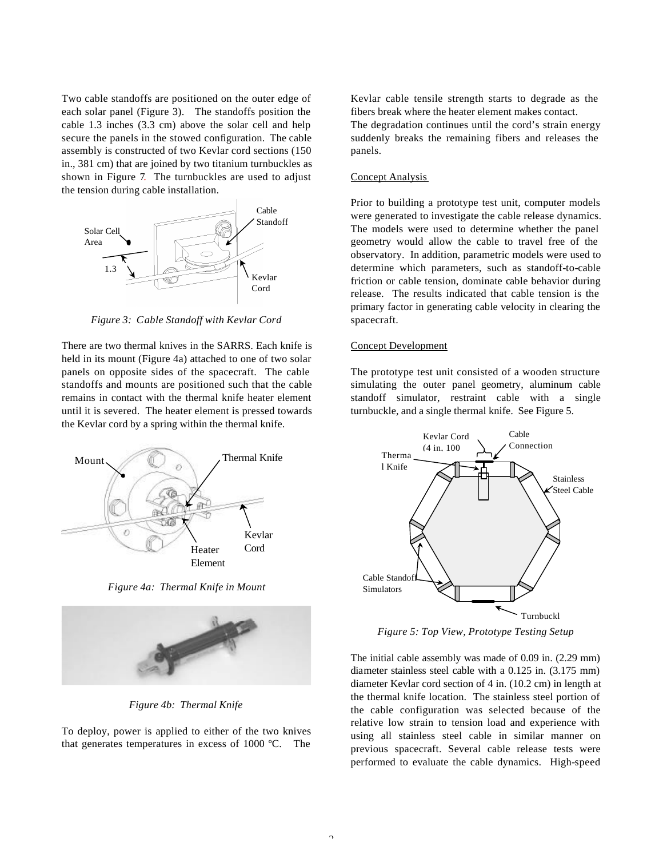Two cable standoffs are positioned on the outer edge of each solar panel (Figure 3). The standoffs position the cable 1.3 inches (3.3 cm) above the solar cell and help secure the panels in the stowed configuration. The cable assembly is constructed of two Kevlar cord sections (150 in., 381 cm) that are joined by two titanium turnbuckles as shown in Figure 7. The turnbuckles are used to adjust the tension during cable installation.



*Figure 3: Cable Standoff with Kevlar Cord*

There are two thermal knives in the SARRS. Each knife is held in its mount (Figure 4a) attached to one of two solar panels on opposite sides of the spacecraft. The cable standoffs and mounts are positioned such that the cable remains in contact with the thermal knife heater element until it is severed. The heater element is pressed towards the Kevlar cord by a spring within the thermal knife.



*Figure 4a: Thermal Knife in Mount*



*Figure 4b: Thermal Knife*

To deploy, power is applied to either of the two knives that generates temperatures in excess of 1000 ºC. The

Kevlar cable tensile strength starts to degrade as the fibers break where the heater element makes contact. The degradation continues until the cord's strain energy suddenly breaks the remaining fibers and releases the panels.

## Concept Analysis

Prior to building a prototype test unit, computer models were generated to investigate the cable release dynamics. The models were used to determine whether the panel geometry would allow the cable to travel free of the observatory. In addition, parametric models were used to determine which parameters, such as standoff-to-cable friction or cable tension, dominate cable behavior during release. The results indicated that cable tension is the primary factor in generating cable velocity in clearing the spacecraft.

## Concept Development

The prototype test unit consisted of a wooden structure simulating the outer panel geometry, aluminum cable standoff simulator, restraint cable with a single turnbuckle, and a single thermal knife. See Figure 5.



*Figure 5: Top View, Prototype Testing Setup*

The initial cable assembly was made of 0.09 in. (2.29 mm) diameter stainless steel cable with a 0.125 in. (3.175 mm) diameter Kevlar cord section of 4 in. (10.2 cm) in length at the thermal knife location. The stainless steel portion of the cable configuration was selected because of the relative low strain to tension load and experience with using all stainless steel cable in similar manner on previous spacecraft. Several cable release tests were performed to evaluate the cable dynamics. High-speed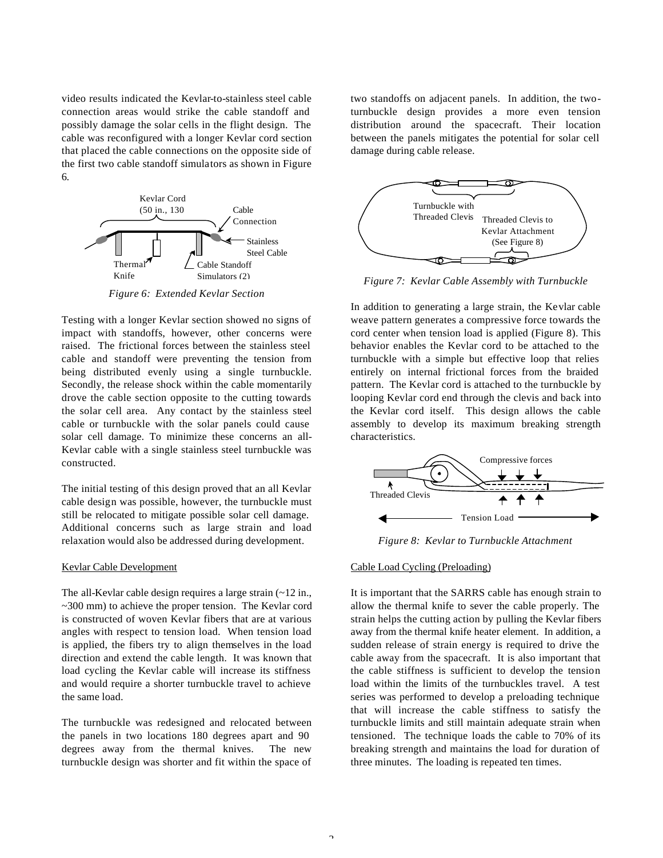video results indicated the Kevlar-to-stainless steel cable connection areas would strike the cable standoff and possibly damage the solar cells in the flight design. The cable was reconfigured with a longer Kevlar cord section that placed the cable connections on the opposite side of the first two cable standoff simulators as shown in Figure 6.



*Figure 6: Extended Kevlar Section*

Testing with a longer Kevlar section showed no signs of impact with standoffs, however, other concerns were raised. The frictional forces between the stainless steel cable and standoff were preventing the tension from being distributed evenly using a single turnbuckle. Secondly, the release shock within the cable momentarily drove the cable section opposite to the cutting towards the solar cell area. Any contact by the stainless steel cable or turnbuckle with the solar panels could cause solar cell damage. To minimize these concerns an all-Kevlar cable with a single stainless steel turnbuckle was constructed.

The initial testing of this design proved that an all Kevlar cable design was possible, however, the turnbuckle must still be relocated to mitigate possible solar cell damage. Additional concerns such as large strain and load relaxation would also be addressed during development.

### Kevlar Cable Development

The all-Kevlar cable design requires a large strain  $(-12 \text{ in.},$ ~300 mm) to achieve the proper tension. The Kevlar cord is constructed of woven Kevlar fibers that are at various angles with respect to tension load. When tension load is applied, the fibers try to align themselves in the load direction and extend the cable length. It was known that load cycling the Kevlar cable will increase its stiffness and would require a shorter turnbuckle travel to achieve the same load.

The turnbuckle was redesigned and relocated between the panels in two locations 180 degrees apart and 90 degrees away from the thermal knives. The new turnbuckle design was shorter and fit within the space of two standoffs on adjacent panels. In addition, the twoturnbuckle design provides a more even tension distribution around the spacecraft. Their location between the panels mitigates the potential for solar cell damage during cable release.



*Figure 7: Kevlar Cable Assembly with Turnbuckle*

In addition to generating a large strain, the Kevlar cable weave pattern generates a compressive force towards the cord center when tension load is applied (Figure 8). This behavior enables the Kevlar cord to be attached to the turnbuckle with a simple but effective loop that relies entirely on internal frictional forces from the braided pattern. The Kevlar cord is attached to the turnbuckle by looping Kevlar cord end through the clevis and back into the Kevlar cord itself. This design allows the cable assembly to develop its maximum breaking strength characteristics.



*Figure 8: Kevlar to Turnbuckle Attachment*

### Cable Load Cycling (Preloading)

It is important that the SARRS cable has enough strain to allow the thermal knife to sever the cable properly. The strain helps the cutting action by pulling the Kevlar fibers away from the thermal knife heater element. In addition, a sudden release of strain energy is required to drive the cable away from the spacecraft. It is also important that the cable stiffness is sufficient to develop the tension load within the limits of the turnbuckles travel. A test series was performed to develop a preloading technique that will increase the cable stiffness to satisfy the turnbuckle limits and still maintain adequate strain when tensioned. The technique loads the cable to 70% of its breaking strength and maintains the load for duration of three minutes. The loading is repeated ten times.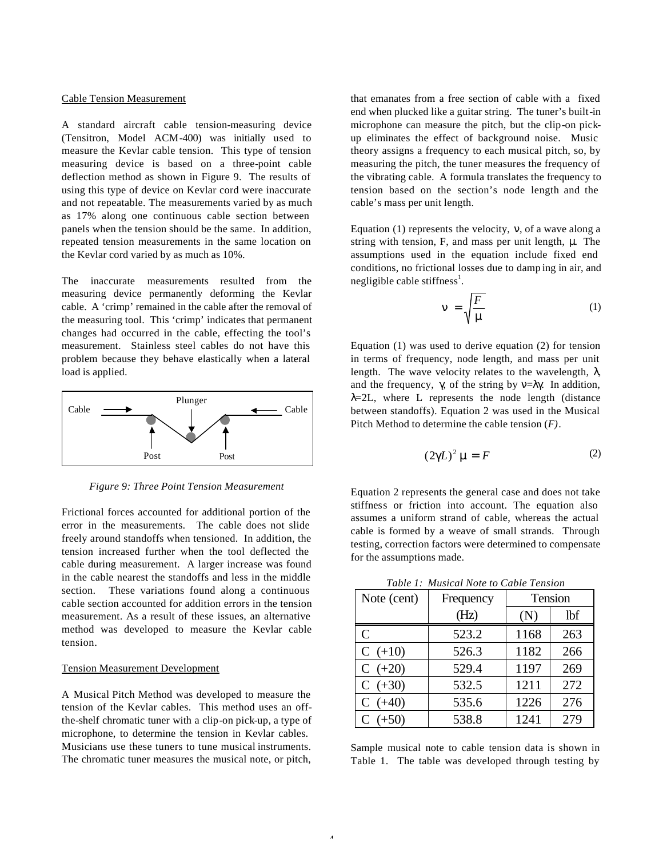#### Cable Tension Measurement

A standard aircraft cable tension-measuring device (Tensitron, Model ACM-400) was initially used to measure the Kevlar cable tension. This type of tension measuring device is based on a three-point cable deflection method as shown in Figure 9. The results of using this type of device on Kevlar cord were inaccurate and not repeatable. The measurements varied by as much as 17% along one continuous cable section between panels when the tension should be the same. In addition, repeated tension measurements in the same location on the Kevlar cord varied by as much as 10%.

The inaccurate measurements resulted from the measuring device permanently deforming the Kevlar cable. A 'crimp' remained in the cable after the removal of the measuring tool. This 'crimp' indicates that permanent changes had occurred in the cable, effecting the tool's measurement. Stainless steel cables do not have this problem because they behave elastically when a lateral load is applied.



*Figure 9: Three Point Tension Measurement*

Frictional forces accounted for additional portion of the error in the measurements. The cable does not slide freely around standoffs when tensioned. In addition, the tension increased further when the tool deflected the cable during measurement. A larger increase was found in the cable nearest the standoffs and less in the middle section. These variations found along a continuous cable section accounted for addition errors in the tension measurement. As a result of these issues, an alternative method was developed to measure the Kevlar cable tension.

## Tension Measurement Development

A Musical Pitch Method was developed to measure the tension of the Kevlar cables. This method uses an offthe-shelf chromatic tuner with a clip-on pick-up, a type of microphone, to determine the tension in Kevlar cables. Musicians use these tuners to tune musical instruments. The chromatic tuner measures the musical note, or pitch,

that emanates from a free section of cable with a fixed end when plucked like a guitar string. The tuner's built-in microphone can measure the pitch, but the clip-on pickup eliminates the effect of background noise. Music theory assigns a frequency to each musical pitch, so, by measuring the pitch, the tuner measures the frequency of the vibrating cable. A formula translates the frequency to tension based on the section's node length and the cable's mass per unit length.

Equation (1) represents the velocity, ν, of a wave along a string with tension, F, and mass per unit length, μ. The assumptions used in the equation include fixed end conditions, no frictional losses due to damp ing in air, and negligible cable stiffness<sup>1</sup>.

$$
n = \sqrt{\frac{F}{m}} \tag{1}
$$

Equation (1) was used to derive equation (2) for tension in terms of frequency, node length, and mass per unit length. The wave velocity relates to the wavelength,  $\lambda$ , and the frequency,  $\gamma$ , of the string by  $v = \lambda \gamma$ . In addition,  $\lambda$ =2L, where L represents the node length (distance between standoffs). Equation 2 was used in the Musical Pitch Method to determine the cable tension (*F)*.

$$
(2\mathbf{g}L)^2 \mathbf{m} = F \tag{2}
$$

Equation 2 represents the general case and does not take stiffness or friction into account. The equation also assumes a uniform strand of cable, whereas the actual cable is formed by a weave of small strands. Through testing, correction factors were determined to compensate for the assumptions made.

| Table 1: Musical Note to Cable Tension |           |         |     |  |
|----------------------------------------|-----------|---------|-----|--|
| Note (cent)                            | Frequency | Tension |     |  |
|                                        | (Hz)      | (N)     | lbf |  |
| $\mathcal{C}$                          | 523.2     | 1168    | 263 |  |
| $C (+10)$                              | 526.3     | 1182    | 266 |  |
| $C (+20)$                              | 529.4     | 1197    | 269 |  |
| $C (+30)$                              | 532.5     | 1211    | 272 |  |
| $C (+40)$                              | 535.6     | 1226    | 276 |  |
| $C (+50)$                              | 538.8     | 1241    | 279 |  |

Sample musical note to cable tension data is shown in Table 1. The table was developed through testing by

 $\overline{a}$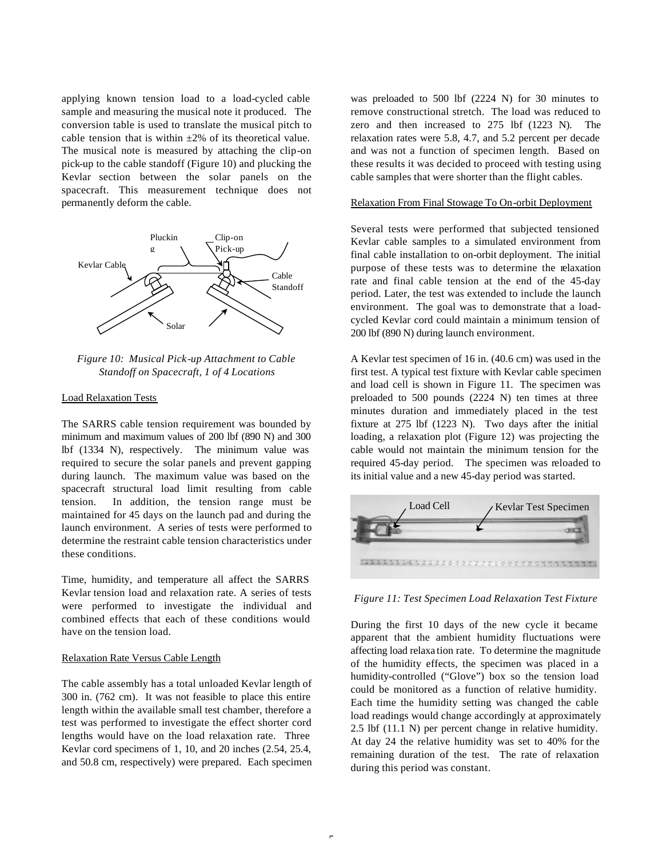applying known tension load to a load-cycled cable sample and measuring the musical note it produced. The conversion table is used to translate the musical pitch to cable tension that is within  $\pm 2\%$  of its theoretical value. The musical note is measured by attaching the clip-on pick-up to the cable standoff (Figure 10) and plucking the Kevlar section between the solar panels on the spacecraft. This measurement technique does not permanently deform the cable.



*Figure 10: Musical Pick-up Attachment to Cable Standoff on Spacecraft, 1 of 4 Locations*

#### Load Relaxation Tests

The SARRS cable tension requirement was bounded by minimum and maximum values of 200 lbf (890 N) and 300 lbf (1334 N), respectively. The minimum value was required to secure the solar panels and prevent gapping during launch. The maximum value was based on the spacecraft structural load limit resulting from cable tension. In addition, the tension range must be maintained for 45 days on the launch pad and during the launch environment. A series of tests were performed to determine the restraint cable tension characteristics under these conditions.

Time, humidity, and temperature all affect the SARRS Kevlar tension load and relaxation rate. A series of tests were performed to investigate the individual and combined effects that each of these conditions would have on the tension load.

## Relaxation Rate Versus Cable Length

The cable assembly has a total unloaded Kevlar length of 300 in. (762 cm). It was not feasible to place this entire length within the available small test chamber, therefore a test was performed to investigate the effect shorter cord lengths would have on the load relaxation rate. Three Kevlar cord specimens of 1, 10, and 20 inches (2.54, 25.4, and 50.8 cm, respectively) were prepared. Each specimen was preloaded to 500 lbf (2224 N) for 30 minutes to remove constructional stretch. The load was reduced to zero and then increased to 275 lbf (1223 N). The relaxation rates were 5.8, 4.7, and 5.2 percent per decade and was not a function of specimen length. Based on these results it was decided to proceed with testing using cable samples that were shorter than the flight cables.

## Relaxation From Final Stowage To On-orbit Deployment

Several tests were performed that subjected tensioned Kevlar cable samples to a simulated environment from final cable installation to on-orbit deployment. The initial purpose of these tests was to determine the relaxation rate and final cable tension at the end of the 45-day period. Later, the test was extended to include the launch environment. The goal was to demonstrate that a loadcycled Kevlar cord could maintain a minimum tension of 200 lbf (890 N) during launch environment.

A Kevlar test specimen of 16 in. (40.6 cm) was used in the first test. A typical test fixture with Kevlar cable specimen and load cell is shown in Figure 11. The specimen was preloaded to 500 pounds (2224 N) ten times at three minutes duration and immediately placed in the test fixture at 275 lbf (1223 N). Two days after the initial loading, a relaxation plot (Figure 12) was projecting the cable would not maintain the minimum tension for the required 45-day period. The specimen was reloaded to its initial value and a new 45-day period was started.



*Figure 11: Test Specimen Load Relaxation Test Fixture*

During the first 10 days of the new cycle it became apparent that the ambient humidity fluctuations were affecting load relaxa tion rate. To determine the magnitude of the humidity effects, the specimen was placed in a humidity-controlled ("Glove") box so the tension load could be monitored as a function of relative humidity. Each time the humidity setting was changed the cable load readings would change accordingly at approximately 2.5 lbf (11.1 N) per percent change in relative humidity. At day 24 the relative humidity was set to 40% for the remaining duration of the test. The rate of relaxation during this period was constant.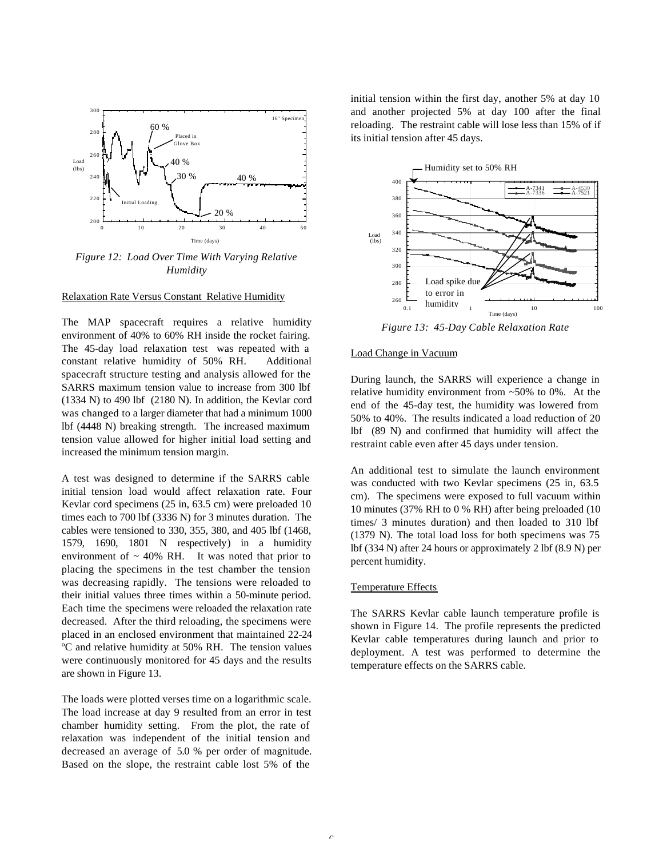

*Figure 12: Load Over Time With Varying Relative Humidity*

#### Relaxation Rate Versus Constant Relative Humidity

The MAP spacecraft requires a relative humidity environment of 40% to 60% RH inside the rocket fairing. The 45-day load relaxation test was repeated with a constant relative humidity of 50% RH. Additional spacecraft structure testing and analysis allowed for the SARRS maximum tension value to increase from 300 lbf (1334 N) to 490 lbf (2180 N). In addition, the Kevlar cord was changed to a larger diameter that had a minimum 1000 lbf (4448 N) breaking strength. The increased maximum tension value allowed for higher initial load setting and increased the minimum tension margin.

A test was designed to determine if the SARRS cable initial tension load would affect relaxation rate. Four Kevlar cord specimens (25 in, 63.5 cm) were preloaded 10 times each to 700 lbf (3336 N) for 3 minutes duration. The cables were tensioned to 330, 355, 380, and 405 lbf (1468, 1579, 1690, 1801 N respectively) in a humidity environment of  $\sim$  40% RH. It was noted that prior to placing the specimens in the test chamber the tension was decreasing rapidly. The tensions were reloaded to their initial values three times within a 50-minute period. Each time the specimens were reloaded the relaxation rate decreased. After the third reloading, the specimens were placed in an enclosed environment that maintained 22-24 ºC and relative humidity at 50% RH. The tension values were continuously monitored for 45 days and the results are shown in Figure 13.

The loads were plotted verses time on a logarithmic scale. The load increase at day 9 resulted from an error in test chamber humidity setting. From the plot, the rate of relaxation was independent of the initial tension and decreased an average of 5.0 % per order of magnitude. Based on the slope, the restraint cable lost 5% of the

initial tension within the first day, another 5% at day 10 and another projected 5% at day 100 after the final reloading. The restraint cable will lose less than 15% of if its initial tension after 45 days.



*Figure 13: 45-Day Cable Relaxation Rate*

## Load Change in Vacuum

During launch, the SARRS will experience a change in relative humidity environment from ~50% to 0%. At the end of the 45-day test, the humidity was lowered from 50% to 40%. The results indicated a load reduction of 20 lbf (89 N) and confirmed that humidity will affect the restraint cable even after 45 days under tension.

An additional test to simulate the launch environment was conducted with two Kevlar specimens (25 in, 63.5 cm). The specimens were exposed to full vacuum within 10 minutes (37% RH to 0 % RH) after being preloaded (10 times/ 3 minutes duration) and then loaded to 310 lbf (1379 N). The total load loss for both specimens was 75 lbf (334 N) after 24 hours or approximately 2 lbf (8.9 N) per percent humidity.

## Temperature Effects

The SARRS Kevlar cable launch temperature profile is shown in Figure 14. The profile represents the predicted Kevlar cable temperatures during launch and prior to deployment. A test was performed to determine the temperature effects on the SARRS cable.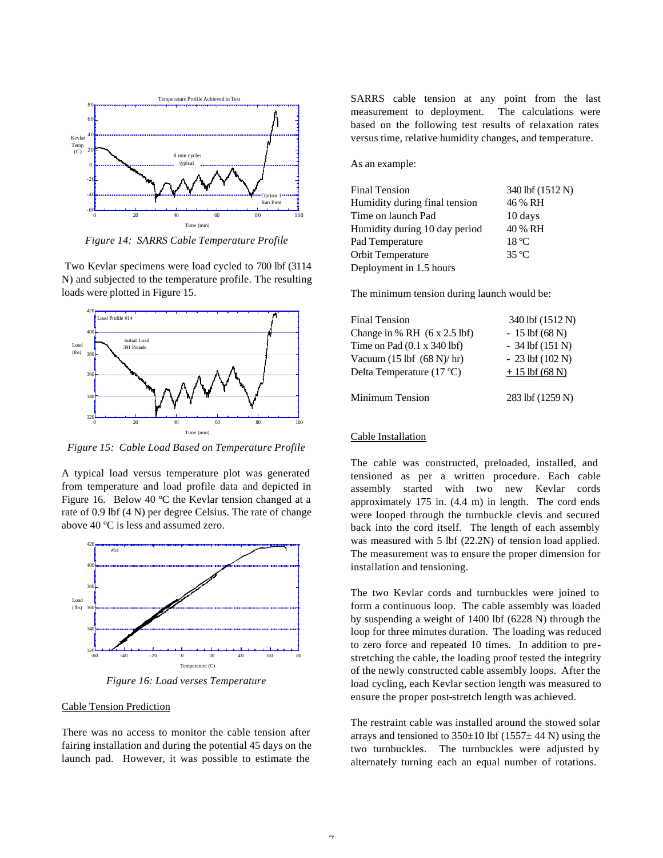

*Figure 14: SARRS Cable Temperature Profile*

 Two Kevlar specimens were load cycled to 700 lbf (3114 N) and subjected to the temperature profile. The resulting loads were plotted in Figure 15.



*Figure 15: Cable Load Based on Temperature Profile*

A typical load versus temperature plot was generated from temperature and load profile data and depicted in Figure 16. Below 40 ºC the Kevlar tension changed at a rate of 0.9 lbf (4 N) per degree Celsius. The rate of change above 40 ºC is less and assumed zero.



*Figure 16: Load verses Temperature*

### Cable Tension Prediction

There was no access to monitor the cable tension after fairing installation and during the potential 45 days on the launch pad. However, it was possible to estimate the

SARRS cable tension at any point from the last measurement to deployment. The calculations were based on the following test results of relaxation rates versus time, relative humidity changes, and temperature.

As an example:

| <b>Final Tension</b>          | 340 lbf (1512 N) |
|-------------------------------|------------------|
| Humidity during final tension | 46 % RH          |
| Time on launch Pad            | 10 days          |
| Humidity during 10 day period | 40 % RH          |
| Pad Temperature               | $18^{\circ}$ C   |
| Orbit Temperature             | $35^{\circ}$ C   |
| Deployment in 1.5 hours       |                  |

The minimum tension during launch would be:

| <b>Final Tension</b>                                 | 340 lbf (1512 N)    |
|------------------------------------------------------|---------------------|
| Change in $% RH$ (6 x 2.5 lbf)                       | $-15$ lbf (68 N)    |
| Time on Pad $(0.1 \times 340$ lbf)                   | $-34$ lbf $(151 N)$ |
| Vacuum $(15 \text{ lbf } (68 \text{ N})/\text{ hr})$ | $-23$ lbf $(102 N)$ |
| Delta Temperature (17 °C)                            | $+15$ lbf (68 N)    |
| Minimum Tension                                      | 283 lbf (1259 N)    |

#### Cable Installation

The cable was constructed, preloaded, installed, and tensioned as per a written procedure. Each cable assembly started with two new Kevlar cords approximately 175 in. (4.4 m) in length. The cord ends were looped through the turnbuckle clevis and secured back into the cord itself. The length of each assembly was measured with 5 lbf (22.2N) of tension load applied. The measurement was to ensure the proper dimension for installation and tensioning.

The two Kevlar cords and turnbuckles were joined to form a continuous loop. The cable assembly was loaded by suspending a weight of 1400 lbf (6228 N) through the loop for three minutes duration. The loading was reduced to zero force and repeated 10 times. In addition to prestretching the cable, the loading proof tested the integrity of the newly constructed cable assembly loops. After the load cycling, each Kevlar section length was measured to ensure the proper post-stretch length was achieved.

The restraint cable was installed around the stowed solar arrays and tensioned to  $350\pm10$  lbf (1557 $\pm$  44 N) using the two turnbuckles. The turnbuckles were adjusted by alternately turning each an equal number of rotations.